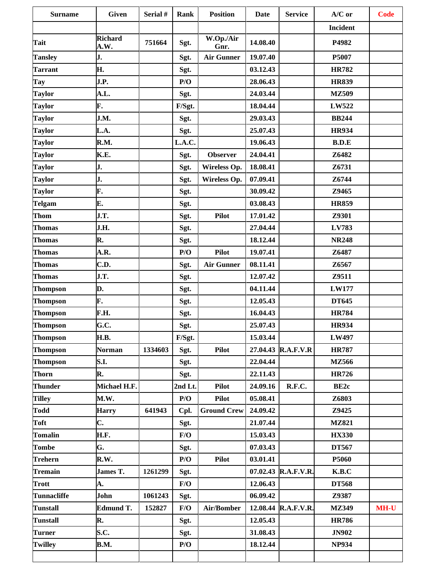| <b>Surname</b>  | <b>Given</b>           | Serial # | <b>Rank</b> | <b>Position</b>    | <b>Date</b> | <b>Service</b>      | $A/C$ or         | <b>Code</b> |
|-----------------|------------------------|----------|-------------|--------------------|-------------|---------------------|------------------|-------------|
|                 |                        |          |             |                    |             |                     | <b>Incident</b>  |             |
| Tait            | <b>Richard</b><br>A.W. | 751664   | Sgt.        | W.Op./Air<br>Gnr.  | 14.08.40    |                     | P4982            |             |
| <b>Tansley</b>  | J.                     |          | Sgt.        | <b>Air Gunner</b>  | 19.07.40    |                     | P5007            |             |
| <b>Tarrant</b>  | Н.                     |          | Sgt.        |                    | 03.12.43    |                     | <b>HR782</b>     |             |
| Tay             | J.P.                   |          | P/O         |                    | 28.06.43    |                     | <b>HR839</b>     |             |
| <b>Taylor</b>   | A.L.                   |          | Sgt.        |                    | 24.03.44    |                     | <b>MZ509</b>     |             |
| <b>Taylor</b>   | F.                     |          | F/Sgt.      |                    | 18.04.44    |                     | LW522            |             |
| <b>Taylor</b>   | J.M.                   |          | Sgt.        |                    | 29.03.43    |                     | <b>BB244</b>     |             |
| <b>Taylor</b>   | L.A.                   |          | Sgt.        |                    | 25.07.43    |                     | <b>HR934</b>     |             |
| <b>Taylor</b>   | R.M.                   |          | L.A.C.      |                    | 19.06.43    |                     | B.D.E            |             |
| <b>Taylor</b>   | K.E.                   |          | Sgt.        | <b>Observer</b>    | 24.04.41    |                     | Z6482            |             |
| <b>Taylor</b>   | J.                     |          | Sgt.        | Wireless Op.       | 18.08.41    |                     | Z6731            |             |
| <b>Taylor</b>   | J.                     |          | Sgt.        | Wireless Op.       | 07.09.41    |                     | Z6744            |             |
| <b>Taylor</b>   | F.                     |          | Sgt.        |                    | 30.09.42    |                     | Z9465            |             |
| <b>Telgam</b>   | E.                     |          | Sgt.        |                    | 03.08.43    |                     | <b>HR859</b>     |             |
| Thom            | J.T.                   |          | Sgt.        | <b>Pilot</b>       | 17.01.42    |                     | Z9301            |             |
| <b>Thomas</b>   | J.H.                   |          | Sgt.        |                    | 27.04.44    |                     | LV783            |             |
| <b>Thomas</b>   | R.                     |          | Sgt.        |                    | 18.12.44    |                     | <b>NR248</b>     |             |
| <b>Thomas</b>   | A.R.                   |          | P/O         | <b>Pilot</b>       | 19.07.41    |                     | Z6487            |             |
| Thomas          | C.D.                   |          | Sgt.        | <b>Air Gunner</b>  | 08.11.41    |                     | Z6567            |             |
| <b>Thomas</b>   | J.T.                   |          | Sgt.        |                    | 12.07.42    |                     | Z9511            |             |
| <b>Thompson</b> | D.                     |          | Sgt.        |                    | 04.11.44    |                     | <b>LW177</b>     |             |
| <b>Thompson</b> | F.                     |          | Sgt.        |                    | 12.05.43    |                     | <b>DT645</b>     |             |
| <b>Thompson</b> | F.H.                   |          | Sgt.        |                    | 16.04.43    |                     | <b>HR784</b>     |             |
| <b>Thompson</b> | G.C.                   |          | Sgt.        |                    | 25.07.43    |                     | <b>HR934</b>     |             |
| <b>Thompson</b> | H.B.                   |          | F/Sgt.      |                    | 15.03.44    |                     | <b>LW497</b>     |             |
| <b>Thompson</b> | <b>Norman</b>          | 1334603  | Sgt.        | <b>Pilot</b>       |             | 27.04.43 R.A.F.V.R  | <b>HR787</b>     |             |
| Thompson        | <b>S.I.</b>            |          | Sgt.        |                    | 22.04.44    |                     | <b>MZ566</b>     |             |
| Thorn           | R.                     |          | Sgt.        |                    | 22.11.43    |                     | <b>HR726</b>     |             |
| <b>Thunder</b>  | Michael H.F.           |          | 2nd Lt.     | <b>Pilot</b>       | 24.09.16    | R.F.C.              | BE <sub>2c</sub> |             |
| <b>Tilley</b>   | M.W.                   |          | P/O         | <b>Pilot</b>       | 05.08.41    |                     | Z6803            |             |
| <b>Todd</b>     | <b>Harry</b>           | 641943   | Cpl.        | <b>Ground Crew</b> | 24.09.42    |                     | Z9425            |             |
| Toft            | C.                     |          | Sgt.        |                    | 21.07.44    |                     | <b>MZ821</b>     |             |
| <b>Tomalin</b>  | <b>H.F.</b>            |          | F/O         |                    | 15.03.43    |                     | <b>HX330</b>     |             |
| <b>Tombe</b>    | G.                     |          | Sgt.        |                    | 07.03.43    |                     | <b>DT567</b>     |             |
| Trehern         | R.W.                   |          | P/O         | <b>Pilot</b>       | 03.01.41    |                     | P5060            |             |
| <b>Tremain</b>  | James T.               | 1261299  | Sgt.        |                    |             | 07.02.43 R.A.F.V.R. | K.B.C            |             |
| Trott           | A.                     |          | F/O         |                    | 12.06.43    |                     | <b>DT568</b>     |             |
| Tunnacliffe     | John                   | 1061243  | Sgt.        |                    | 06.09.42    |                     | Z9387            |             |
| Tunstall        | <b>Edmund T.</b>       | 152827   | F/O         | Air/Bomber         |             | 12.08.44 R.A.F.V.R. | <b>MZ349</b>     | <b>MH-U</b> |
| <b>Tunstall</b> | R.                     |          | Sgt.        |                    | 12.05.43    |                     | <b>HR786</b>     |             |
| <b>Turner</b>   | S.C.                   |          | Sgt.        |                    | 31.08.43    |                     | <b>JN902</b>     |             |
| <b>Twilley</b>  | <b>B.M.</b>            |          | P/O         |                    | 18.12.44    |                     | <b>NP934</b>     |             |
|                 |                        |          |             |                    |             |                     |                  |             |